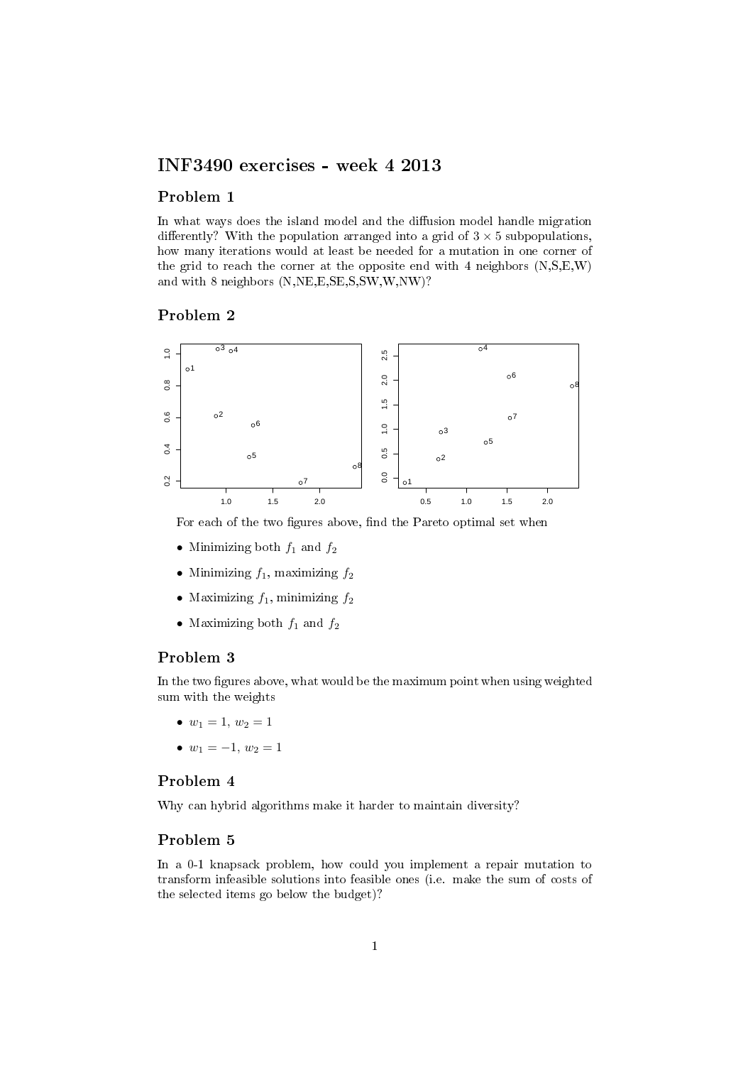# INF3490 exercises - week 4 2013

## Problem 1

In what ways does the island model and the diffusion model handle migration differently? With the population arranged into a grid of  $3 \times 5$  subpopulations, how many iterations would at least be needed for a mutation in one corner of the grid to reach the corner at the opposite end with 4 neighbors (N,S,E,W) and with 8 neighbors (N,NE,E,SE,S,SW,W,NW)?

## Problem 2



For each of the two figures above, find the Pareto optimal set when

- Minimizing both  $f_1$  and  $f_2$
- Minimizing  $f_1$ , maximizing  $f_2$
- Maximizing  $f_1$ , minimizing  $f_2$
- Maximizing both  $f_1$  and  $f_2$

# Problem 3

In the two figures above, what would be the maximum point when using weighted sum with the weights

- $w_1 = 1, w_2 = 1$
- $w_1 = -1, w_2 = 1$

# Problem 4

Why can hybrid algorithms make it harder to maintain diversity?

# Problem 5

In a 0-1 knapsack problem, how could you implement a repair mutation to transform infeasible solutions into feasible ones (i.e. make the sum of costs of the selected items go below the budget)?